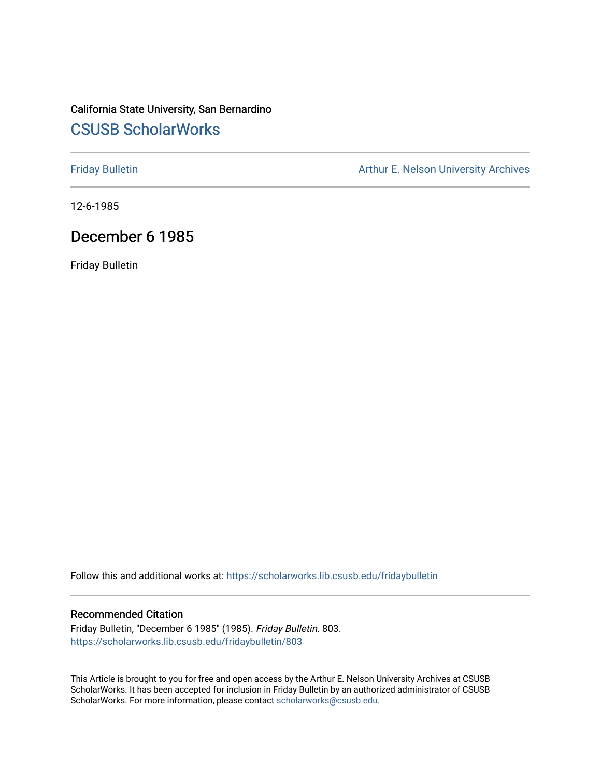# California State University, San Bernardino [CSUSB ScholarWorks](https://scholarworks.lib.csusb.edu/)

[Friday Bulletin](https://scholarworks.lib.csusb.edu/fridaybulletin) **Arthur E. Nelson University Archives** Arthur E. Nelson University Archives

12-6-1985

# December 6 1985

Friday Bulletin

Follow this and additional works at: [https://scholarworks.lib.csusb.edu/fridaybulletin](https://scholarworks.lib.csusb.edu/fridaybulletin?utm_source=scholarworks.lib.csusb.edu%2Ffridaybulletin%2F803&utm_medium=PDF&utm_campaign=PDFCoverPages)

### Recommended Citation

Friday Bulletin, "December 6 1985" (1985). Friday Bulletin. 803. [https://scholarworks.lib.csusb.edu/fridaybulletin/803](https://scholarworks.lib.csusb.edu/fridaybulletin/803?utm_source=scholarworks.lib.csusb.edu%2Ffridaybulletin%2F803&utm_medium=PDF&utm_campaign=PDFCoverPages)

This Article is brought to you for free and open access by the Arthur E. Nelson University Archives at CSUSB ScholarWorks. It has been accepted for inclusion in Friday Bulletin by an authorized administrator of CSUSB ScholarWorks. For more information, please contact [scholarworks@csusb.edu.](mailto:scholarworks@csusb.edu)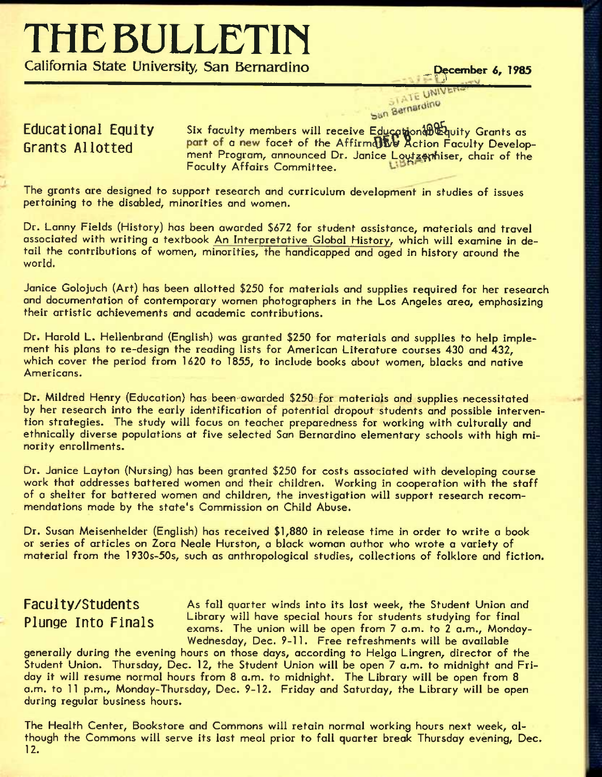# **THE BULLETin**

**California State University, San Bernardino \_p^ember** *6,* **1985** 

# STATE UNIVER San Bernardino

Educational Equity Six faculty members will receive Education 3® & Australians as Grants Allotted **part of a new facet of the Affirmdlive Action Faculty Develop**ment Program, announced Dr. Janice Loutzenhiser, chair of the Faculty Affairs Committee.

The grants are designed to support research and curriculum development in studies of issues pertaining to the disabled, minorities and women.

Dr. Lanny Fields (History) has been awarded \$672 for student assistance, materials and travel associated with writing a textbook An Interpretative Global History, which will examine in detail the contributions of women, minorities, the handicapped and aged in history around the world.

Janice Golojuch (Art) has been allotted \$250 for materials and supplies required for her research and documentation of contemporary women photographers in the Los Angeles area, emphasizing their artistic achievements and academic contributions.

Dr. Harold L. Hellenbrand (English) was granted \$250 for materials and supplies to help implement his plans to re-design the reading lists for American Literature courses 430 and 432, which cover the period from 1620 to 1855, to include books about women, blacks and native Americans.

Dr. Mildred Henry (Education) has been- awarded \$250 for materials and supplies necessitated by her research into the early identification of potential dropout students and possible intervention strategies. The study will focus on teacher preparedness for working with culturally and ethnically diverse populations at five selected San Bernardino elementary schools with high minority enrollments.

Dr. Janice Layton (Nursing) has been granted \$250 for costs associated with developing course work that addresses battered women and their children. Working in cooperation with the staff of a shelter for battered women and children, the investigation will support research recommendations made by the state's Commission on Child Abuse.

Dr. Susan Meisenhelder (English) has received \$1,880 in release time in order to write a book or series of articles on Zora Neale Hurston, a black woman author who wrote a variety of material from the 1930s-50s, such as anthropological studies, collections of folklore and fiction.

Faculty/Students As fall quarter winds into its last week, the Student Union and Plunge Into Finals Library will have special hours for students studying for final exams. The union will be open from 7 a.m. to 2 a.m., Monday-Wednesday, Dec. 9-11. Free refreshments will be available

generally during the evening hours on those days, according to Helga Lingren, director of the Student Union. Thursday, Dec. 12, the Student Union will be open 7 a.m. to midnight and Friday it will resume normal hours from 8 a.m. to midnight. The Library will be open from 8 a.m. to 11 p.m., Monday-Thursday, Dec. 9-12. Friday and Saturday, the Library will be open during regular business hours.

The Health Center, Bookstore and Commons will retain normal working hours next week, although the Commons will serve its last meal prior to fail quarter break Thursday evening, Dec. 12.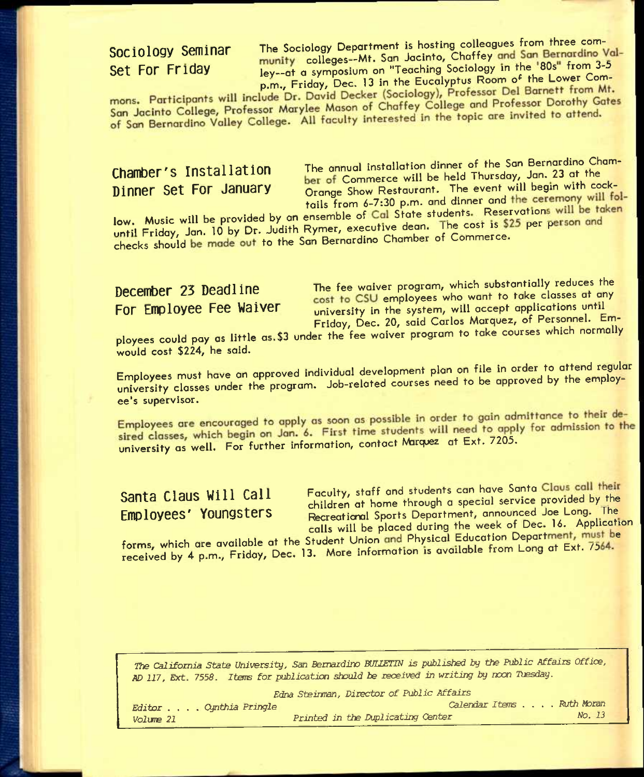Sociology Seminar The Sociology Department is hosting colleagues from three com-<br>Chaffey and San Bernarding V **Sociology Seminar Colleges-Mt.** San Jacinto, Chaffey and San Bernardino Val-<br>Set FOr Friday **colleges-Mt.** San Jacinto, Chaffey and San Bernardino Valley--at a symposium on "Teaching Sociology in the '80s" from 3-5 p.m., Friday, Dec. 13 in the Eucalyptus Room of the Lower Com-<br>mons. Participants will include Dr. David Decker (Sociology), Professor Del Barnett from Mt.

mons. Participants will include Dr. David Decker (Sociology), Professor Der Barner.<br>San Jacinto College, Professor Marylee Mason of Chaffey College and Professor Dorothy Gates San Jacinto College, Professor Marylee Mason of Charley College and Froncosco Death<br>of San Bernardino Valley College. All faculty interested in the topic are invited to attend.

Chamber's Installation The annual installation dinner of the San Bernardino Cham-Chaing S installation the simple will be held Thursday, Jan. 23 at the being been been been been will begin with commerce will be held Thursday, Jan. 23 at the **Orange Show Restaurant. The event will begin with cock**tails from 6-7:30 p.m. and dinner and the ceremony will fol-

low. Music will be provided by an ensemble of Cal State students. Reservations will be taken until Friday, Jan. 10 by Dr. Judith Rymer, executive dean. The cost is \$25 per person and checks should be made out to the San Bernardino Chamber of Commerce.

**December 23 Deadline** The fee waiver program, which substantially reduces the December 23 December 20 cost to CSU employees who want to take classes at any cost to CSU employees who want to take classes at any university in the system, will accept applications until Friday, Dec. 20, said Carlos Marquez, of Personnel. Em-

ployees could pay as little as. \$3 under the fee waiver program to take courses which normally would cost \$224, he said.

Employees must have an approved individual development plan on file in order to attend regular university classes under the program. Job-related courses need to be approved by the employee's supervisor.

Employees are encouraged to apply as soon as possible in order to gain admittance to their desired classes, which begin on Jan. 6. First time students will need to apply for admission to the<br>university as well. For further information, contact Marquez at Ext. 7205.

Santa Claus Will Call Faculty, staff and students can have Santa Claus call their<br>**Finn Lovees' Youngsters** Recreational Sports Department, announced Joe Long. The Recreational Sports Department, announced Joe Long. The calls will be placed during the week of Dec. 16. Application

forms, which are available at the Student Union and Physical Education Department, must be received by 4 p.m., Friday, Dec. 13. More information is available from Long at Ext. 7564.

*The California* State *University, San Bernardino WUETIU is published by the Public* Affairs *Office,* 

| $\frac{1}{2}$ $\frac{1}{2}$ $\frac{1}{2}$ $\frac{1}{2}$ $\frac{1}{2}$ $\frac{1}{2}$ $\frac{1}{2}$ $\frac{1}{2}$ $\frac{1}{2}$ $\frac{1}{2}$ $\frac{1}{2}$ $\frac{1}{2}$ $\frac{1}{2}$ $\frac{1}{2}$ $\frac{1}{2}$ $\frac{1}{2}$ $\frac{1}{2}$ $\frac{1}{2}$ $\frac{1}{2}$ $\frac{1}{2}$ $\frac{1}{2}$ $\frac{1}{2}$ |                                                                                         |  |
|---------------------------------------------------------------------------------------------------------------------------------------------------------------------------------------------------------------------------------------------------------------------------------------------------------------------|-----------------------------------------------------------------------------------------|--|
|                                                                                                                                                                                                                                                                                                                     | AD 117, Ext. 7558. Items for publication should be received in writing by noon Tuesday. |  |
| Edna Steinman, Director of Public Affairs                                                                                                                                                                                                                                                                           |                                                                                         |  |
| Editor Cynthia Pringle                                                                                                                                                                                                                                                                                              | Calendar Items Ruth Moran                                                               |  |
| Volume 21                                                                                                                                                                                                                                                                                                           | No. 13<br>Printed in the Duplicating Center                                             |  |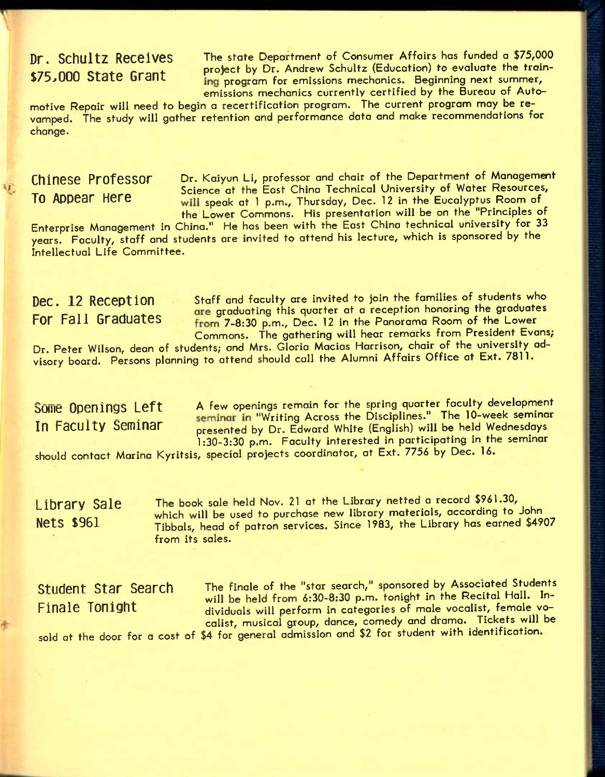**Dr. SchUltZ R6C6iV6S** The state Department of Consumer Affairs has funded a **\$75,000**  \*TC nnn *Qt t r* t project by Dr. Andrew Schultz (Education) to evaluate the train ing program for emissions mechanics. Beginning next summer, emissions mechanics currently certified by the Bureau of Auto-

motive Repair will need to begin a recertification program. The current program may be revamped. The study will gather retention and performance data and make recommendations for change.

屯

Chinese Professor Dr. Kaiyun Li, professor and chair of the Department of Management Science at the East China Technical University of Water Resources, To Appear Here such as the Eust State Technolic States of the Eucalyptus Room of the Lower Commons. His presentotion will be on the "Principles of

Enterprise Management in China." He has been with the East China technical university for 33 years. Faculty, staff and students are invited to attend his lecture, which is sponsored by the Intellectual Life Committee.

Dec. 12 Reception Staff and faculty are invited to join the families of students who are graduating this quarter at a reception honoring the graduates For Fall Graduates **From 7-8:30 p.m.**, Dec. 12 in the Panorama Room of the Lower Commons. The gathering will hear remarks from President Evans;

Dr. Peter Wilson, dean of students; and Mrs. Gloria Macias Harrison, chair of the university advisory board. Persons planning to attend should call the Alumni Affairs Office at Ext. 7811.

Some Openings Left A few openings remain for the spring quarter faculty development ORTHES LOTE Seminar in "Writing Across the Disciplines." The 10-week seminar<br>In Faculty Seminar are are are the U.S. Edward White (English) will be held Wednesdays presented by Dr. Edward White (English) will be held Wednesdays 1:30-3:30 p.m. Faculty interested in participating in the seminar

should contact Marina Kyritsis, special projects coordinator, at Ext. *7756* by Dec. 16.

Library Sale The book sale held Nov. 21 at the Library netted a record \$961.30, which will be used to purchase new library materials, according to John Nets \$961 Tibbals, head of patron services. Since 1983, the Library has earned \$4907 from its soles.

Student Star Search The finale of the "star search," sponsored by Associated Students Seasons Sear Doctors will be held from 6:30-8:30 p.m. tonight in the Recital Hall. In-<br>Finale Tonight dividuals will perform in categories of male vocalist, female vo-**FinalG Tonight** divlduals win perform in categories of male vocalist, female vocalist, musical group, dance, comedy and drama. Tickets will be sold at the door for a cost of \$4 for general admission and \$2 for student with identification.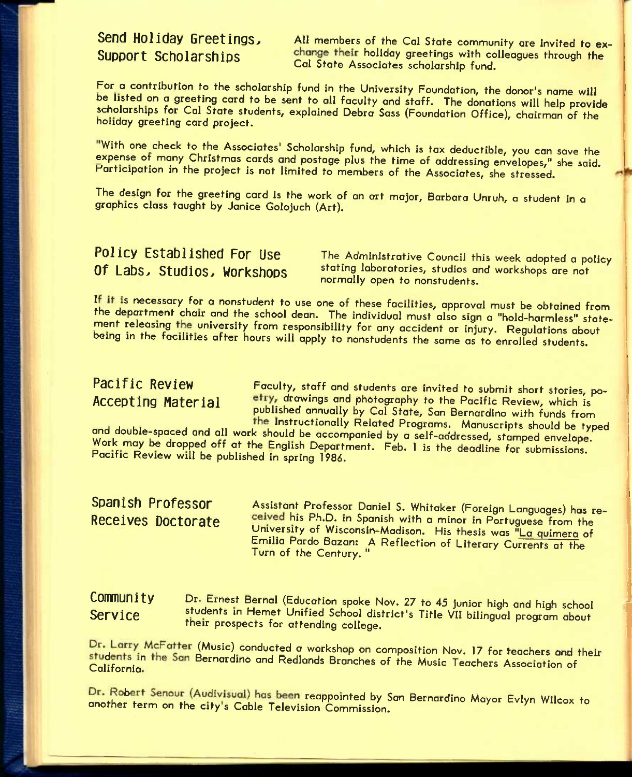Send Holiday Greetings, All members of the Cal State community are invited to ex-<br>Support Scholarships change their holiday greetings with colleagues through the change their holiday greetings with colleagues through the Cal State Associates scholarship fund.

For a contribution to the scholarship fund in the University Foundation, the donor's name will be listed on a greeting card to be sent to all faculty and staff. The donations will help provide scholarships for Cal State students, explained Debra Sass (Foundation Office), chairman of the holiday greeting card project.

With one check to the Associates' Scholarship fund, which is tax deductible, you can save the expense of many Christmas cards and postage plus the time of addressing envelopes," she said. Participation in the project is not limited to members of the Associates, she stressed.

The design for the greeting card is the work of on art major, Barbara Unruh, a student in a graphics class taught by Janice Golojuch (Art).

Policy Established For Use The Administrative Council this week adopted a policy<br>Of Labs, Studios, Workshops stating laboratories, studios and workshops are not stating laboratories, studios and workshops are not normally open to nonstudents.

If it is necessary for a nonstudent to use one of these facilities, approval must be obtained from the department chair and the school dean. The individual must also sign a "hold-harmless" statement releasing the university from responsibility for any accident or injury. Regulations about being in the facilities after hours will apply to nonstudents the some as to enrolled students.

**Pacific Review** Faculty, staff and students are invited to submit short stories, po-<br>Accepting Material etry, drawings and photography to the Pacific Review, which is etry, drawings and photography to the Pacific Review, which is published annually by Cal State, San Bernardino with funds from the Instructionally Related Programs. Manuscripts should be typed

and double-spaced and all work should be accompanied by a self-addressed, stamped envelope. Work may be dropped off at the English Department. Feb. 1 is the deadline for submissions. Pacific Review will be published in spring 1986.

**Spanish Professor Assistant Professor Daniel S. Whitaker (Foreign Languages) has re-**<br>Receives Doctorate **ceived his Ph.D.** in Spanish with a minor in Portuguese from the ceived his Ph.D. in Spanish with a minor in Portuguese from the University of Wisconsin-Madison. His thesis was "La quimera of Emilia Pardo Bazan: A Reflection of Literary Currents at the Turn of the Century. "

### **COMMUNIty** Dr. Ernest Bernal (Education spoke Nov. 27 to 45 junior high and high school Service students in Hemet Unified School district's Title VII bilingual program about their prospects for attending college.

Dr. Larry McFatter (Music) conducted a workshop on composition Nov. 17 for teachers and their students in the San Bernardino and Redlands Branches of the Music Teachers Association of

Dr. Robert Senour (Audivisual) has been reappointed by San Bernardino Mayor Evlyn Wilcox to another term on the city's Cable Television Commission.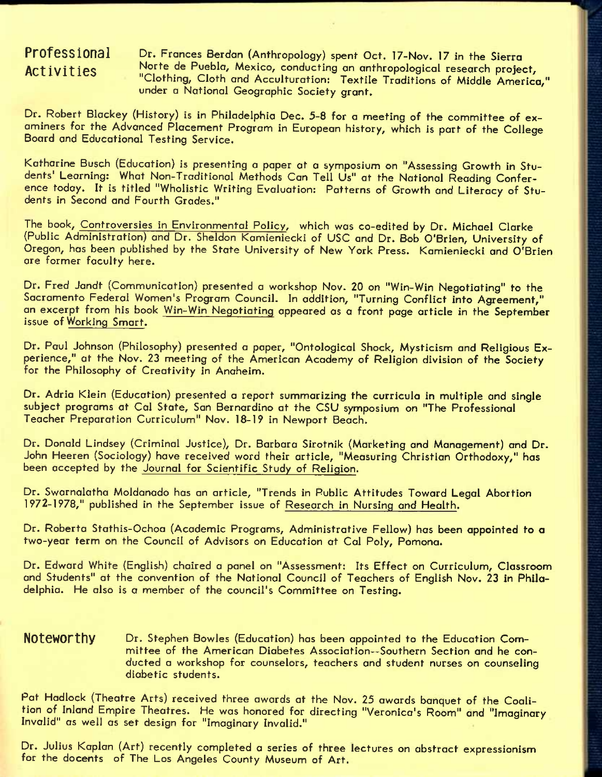**Professional** Dr. Frances Berdan (Anthropology) spent Oct. 17-Nov. 17 in the Sierra **Activities** Norte de Pueblo, Mexico, conducting on anthropological research project, "Clothing, Cloth and Acculturation: Textile Traditions of Middle America," under a National Geographic Society grant.

Dr. Robert Blackey (History) is in Philadelphia Dec. 5-8 for a meeting of the committee of examiners for the Advanced Placement Program in European history, which is part of the College Board and Educational Testing Service.

Katharine Busch (Education) is presenting a paper at a symposium on "Assessing Growth in Students' Learning: What Non-Traditional Methods Can Tell Us" at the National Reading Conference today. It is titled "Wholistic Writing Evaluation: Patterns of Growth and Literacy of Students in Second and Fourth Grades."

The book, Controversies in Environmental Policy, which was co-edited by Dr. Michael Clarke (Public Administration) and Dr. Sheldon Kamieniecki of USC and Dr. Bob O'Brien, University of Oregon, has been published by the State University of New York Press. Kamieniecki and O'Brien are former faculty here.

Dr. Fred Jandt (Communication) presented a workshop Nov. 20 on "Win-Win Negotiating" to the Sacramento Federal Women's Program Council. In addition, "Turning Conflict into Agreement," on excerpt from his book Win-Win Negotiating appeared as a front page article in the September issue of Working Smart.

Dr. Paul Johnson (Philosophy) presented a paper, "Ontological Shock, Mysticism and Religious Experience," at the Nov. 23 meeting of the American Academy of Religion division of the Society for the Philosophy of Creativity in Anaheim.

Dr. Adria Klein (Education) presented a report summarizing the curricula in multiple and single subject programs at Cal State, San Bernardino at the CSU symposium on "The Professional Teacher Preparation Curriculum" Nov. 18-19 in Newport Beach.

Dr. Donald Lindsey (Criminal Justice), Dr. Barbara Sirotnik (Marketing and Management) and Dr. John Heeren (Sociology) hove received word their article, "Measuring Christian Orthodoxy," has been accepted by the Journal for Scientific Study of Religion.

Dr. Swornolatha Moldonodo has an article, "Trends in Public Attitudes Toward Legal Abortion 1972-1978," published in the September issue of Research in Nursing and Health.

Dr. Roberta Stathis-Ochoa (Academic Programs, Administrative Fellow) has been appointed to a two-year term on the Council of Advisors on Education at Cal Poly, Pomona.

Dr. Edward White (English) chaired a panel on "Assessment: Its Effect on Curriculum, Classroom and Students" at the convention of the Notional Council of Teachers of English Nov. 23 in Philadelphia. He also is a member of the council's Committee on Testing.

Noteworthy Dr. Stephen Bowles (Education) has been appointed to the Education Committee of the American Diabetes Association—Southern Section and he conducted a workshop for counselors, teachers and student nurses on counseling diabetic students.

Pat Hadlock (Theatre Arts) received three awards at the Nov. 25 awards banquet of the Coalition of Inland Empire Theatres. He was honored for directing "Veronica's Room" and "Imaginary Invalid" as well as set design for "Imaginary Invalid."

Dr. Julius Kaplan (Art) recently completed a series of three lectures on abstract expressionism for the docents of The Los Angeles County Museum of Art.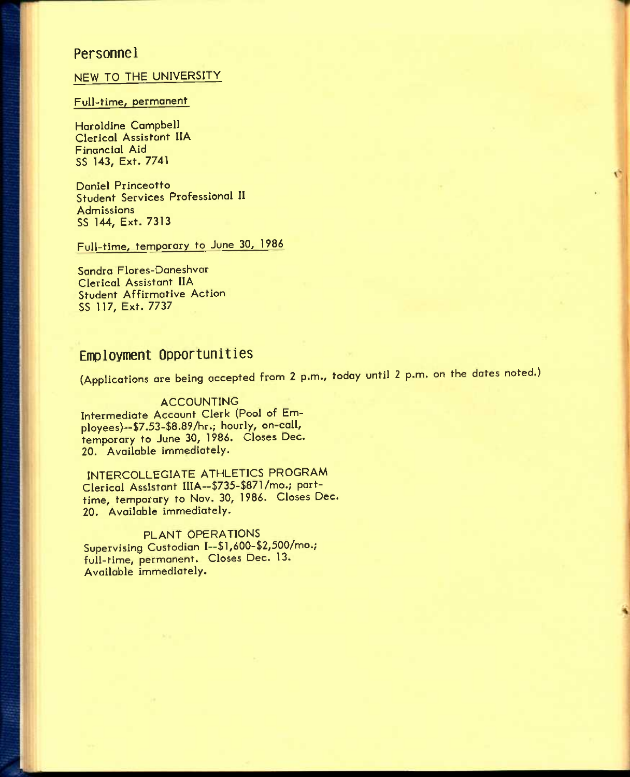### **Personnel**

### NEW TO THE UNIVERSITY

### Full-time, permanent

Haroldine Campbell Clerical Assistant IIA Financial Aid SS 143, Ext. 7741

Daniel Princeotto Student Services Professional II Admissions SS 144, Ext. 7313

## Full-time, temporary to June 30, 1986

Sandra Flores-Daneshvar Clerical Assistant IIA Student Affirmative Action SS 117, Ext. 7737

## **Employment Opportunities**

(Applications are being accepted from 2 p.m., today until 2 p.m. on the dates noted.)

ACCOUNTING Intermediate Account Clerk (Pool of Employees)--\$7.53-\$8.89/hr.; hourly, on-call, temporary to June 30, 1986. Closes Dec, 20. Available immediately.

INTERCOLLEGIATE ATHLETICS PROGRAM Clerical Assistant IIIA—\$735-\$871/mo.; parttime, temporary to Nov. 30, 1986. Closes Dec. 20. Available immediately.

PLANT OPERATIONS Supervising Custodian I—\$l,600-\$2,500/mo.; full-time, permanent. Closes Dec. 13. Available immediately.